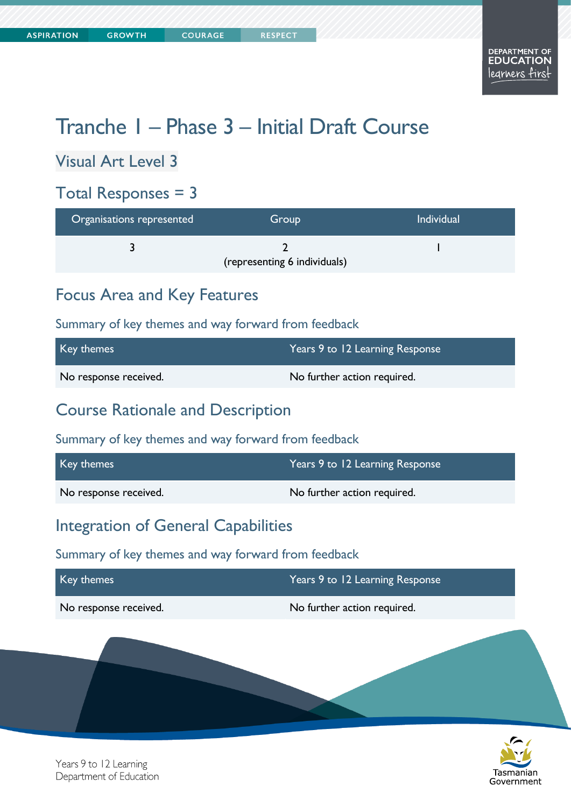# Tranche 1 – Phase 3 – Initial Draft Course

Visual Art Level 3

### Total Responses = 3

| Organisations represented | Group                        | <b>Individual</b> |
|---------------------------|------------------------------|-------------------|
|                           | (representing 6 individuals) |                   |

### Focus Area and Key Features

Summary of key themes and way forward from feedback

| Key themes            | Years 9 to 12 Learning Response |
|-----------------------|---------------------------------|
| No response received. | No further action required.     |

### Course Rationale and Description

Summary of key themes and way forward from feedback

| Key themes            | Years 9 to 12 Learning Response |
|-----------------------|---------------------------------|
| No response received. | No further action required.     |

### Integration of General Capabilities

| Key themes            | Years 9 to 12 Learning Response |  |
|-----------------------|---------------------------------|--|
| No response received. | No further action required.     |  |
|                       |                                 |  |

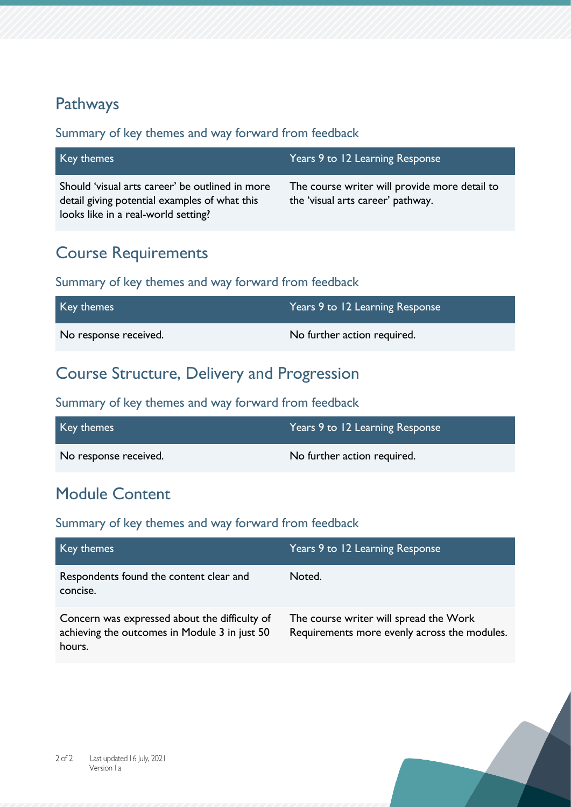### Pathways

#### Summary of key themes and way forward from feedback

| Key themes                                                                                                                              | Years 9 to 12 Learning Response                                                    |
|-----------------------------------------------------------------------------------------------------------------------------------------|------------------------------------------------------------------------------------|
| Should 'visual arts career' be outlined in more<br>detail giving potential examples of what this<br>looks like in a real-world setting? | The course writer will provide more detail to<br>the 'visual arts career' pathway. |

### Course Requirements

#### Summary of key themes and way forward from feedback

| Key themes            | Years 9 to 12 Learning Response |
|-----------------------|---------------------------------|
| No response received. | No further action required.     |

### Course Structure, Delivery and Progression

#### Summary of key themes and way forward from feedback

| Key themes            | Years 9 to 12 Learning Response |
|-----------------------|---------------------------------|
| No response received. | No further action required.     |

# Module Content

| Key themes                                                                                               | Years 9 to 12 Learning Response                                                        |
|----------------------------------------------------------------------------------------------------------|----------------------------------------------------------------------------------------|
| Respondents found the content clear and<br>concise.                                                      | Noted.                                                                                 |
| Concern was expressed about the difficulty of<br>achieving the outcomes in Module 3 in just 50<br>hours. | The course writer will spread the Work<br>Requirements more evenly across the modules. |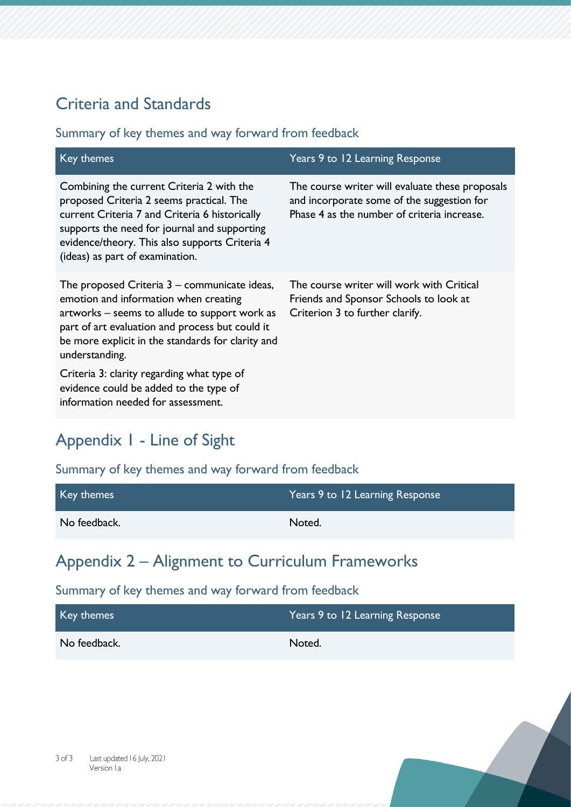# Criteria and Standards

#### Summary of key themes and way forward from feedback

| Key themes                                                                                                                                                                                                                                                                   | Years 9 to 12 Learning Response                                                                                                              |
|------------------------------------------------------------------------------------------------------------------------------------------------------------------------------------------------------------------------------------------------------------------------------|----------------------------------------------------------------------------------------------------------------------------------------------|
| Combining the current Criteria 2 with the<br>proposed Criteria 2 seems practical. The<br>current Criteria 7 and Criteria 6 historically<br>supports the need for journal and supporting<br>evidence/theory. This also supports Criteria 4<br>(ideas) as part of examination. | The course writer will evaluate these proposals<br>and incorporate some of the suggestion for<br>Phase 4 as the number of criteria increase. |
| The proposed Criteria $3$ – communicate ideas,<br>emotion and information when creating<br>artworks – seems to allude to support work as<br>part of art evaluation and process but could it<br>be more explicit in the standards for clarity and<br>understanding.           | The course writer will work with Critical<br>Friends and Sponsor Schools to look at<br>Criterion 3 to further clarify.                       |
| Criteria 3: clarity regarding what type of<br>evidence could be added to the type of<br>information needed for assessment.                                                                                                                                                   |                                                                                                                                              |

# Appendix 1 - Line of Sight

### Summary of key themes and way forward from feedback

| Key themes   | Years 9 to 12 Learning Response |
|--------------|---------------------------------|
| No feedback. | Noted.                          |

# Appendix 2 – Alignment to Curriculum Frameworks

| Key themes   | Years 9 to 12 Learning Response |
|--------------|---------------------------------|
| No feedback. | Noted.                          |